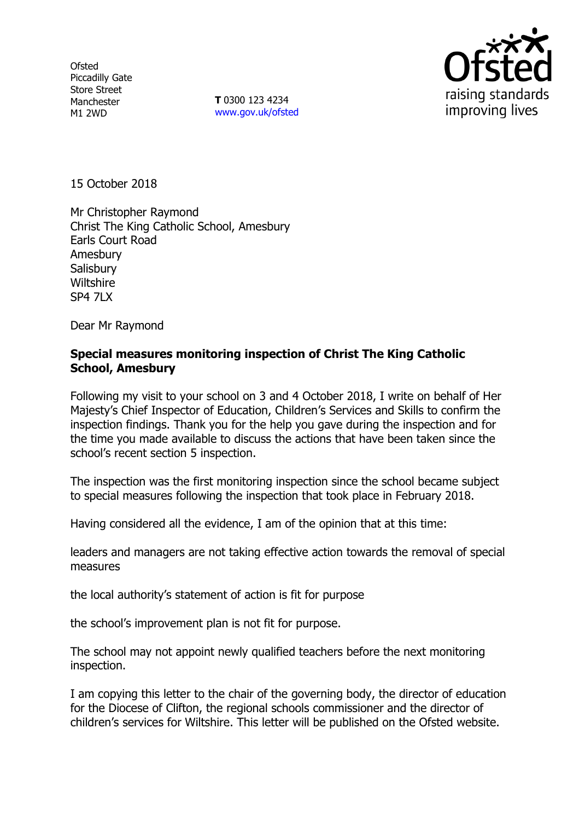**Ofsted** Piccadilly Gate Store Street Manchester M1 2WD

**T** 0300 123 4234 www.gov.uk/ofsted



15 October 2018

Mr Christopher Raymond Christ The King Catholic School, Amesbury Earls Court Road Amesbury **Salisbury Wiltshire** SP4 7LX

Dear Mr Raymond

#### **Special measures monitoring inspection of Christ The King Catholic School, Amesbury**

Following my visit to your school on 3 and 4 October 2018, I write on behalf of Her Majesty's Chief Inspector of Education, Children's Services and Skills to confirm the inspection findings. Thank you for the help you gave during the inspection and for the time you made available to discuss the actions that have been taken since the school's recent section 5 inspection.

The inspection was the first monitoring inspection since the school became subject to special measures following the inspection that took place in February 2018.

Having considered all the evidence, I am of the opinion that at this time:

leaders and managers are not taking effective action towards the removal of special measures

the local authority's statement of action is fit for purpose

the school's improvement plan is not fit for purpose.

The school may not appoint newly qualified teachers before the next monitoring inspection.

I am copying this letter to the chair of the governing body, the director of education for the Diocese of Clifton, the regional schools commissioner and the director of children's services for Wiltshire. This letter will be published on the Ofsted website.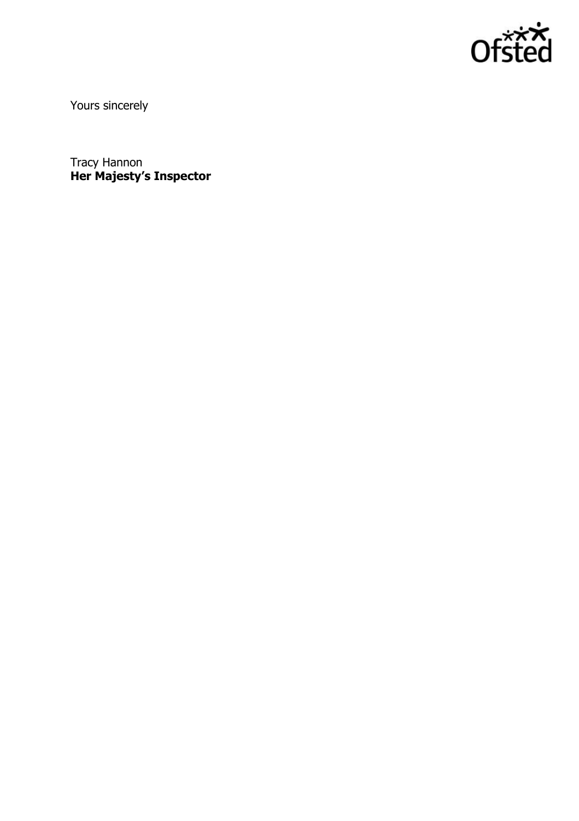

Yours sincerely

Tracy Hannon **Her Majesty's Inspector**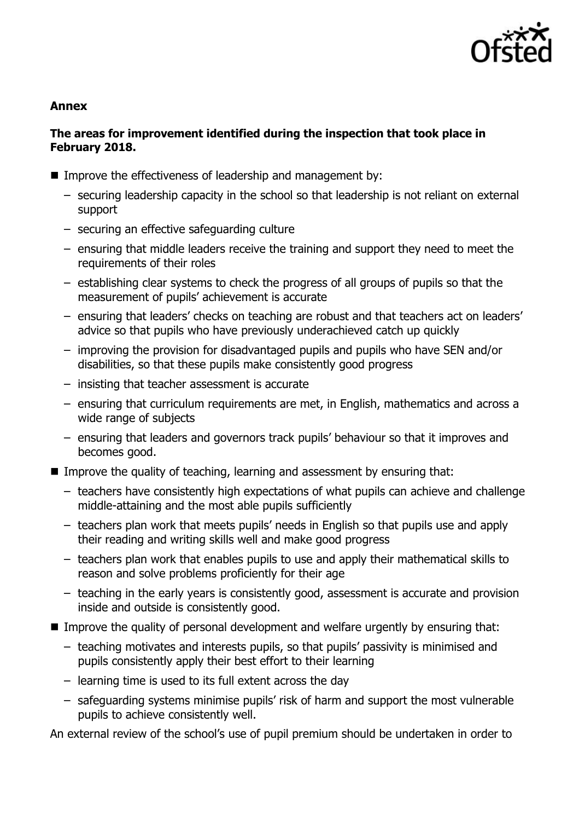

## **Annex**

#### **The areas for improvement identified during the inspection that took place in February 2018.**

- Improve the effectiveness of leadership and management by:
	- securing leadership capacity in the school so that leadership is not reliant on external support
	- securing an effective safeguarding culture
	- ensuring that middle leaders receive the training and support they need to meet the requirements of their roles
	- establishing clear systems to check the progress of all groups of pupils so that the measurement of pupils' achievement is accurate
	- ensuring that leaders' checks on teaching are robust and that teachers act on leaders' advice so that pupils who have previously underachieved catch up quickly
	- improving the provision for disadvantaged pupils and pupils who have SEN and/or disabilities, so that these pupils make consistently good progress
	- insisting that teacher assessment is accurate
	- ensuring that curriculum requirements are met, in English, mathematics and across a wide range of subjects
	- ensuring that leaders and governors track pupils' behaviour so that it improves and becomes good.
- Improve the quality of teaching, learning and assessment by ensuring that:
	- teachers have consistently high expectations of what pupils can achieve and challenge middle-attaining and the most able pupils sufficiently
	- teachers plan work that meets pupils' needs in English so that pupils use and apply their reading and writing skills well and make good progress
	- teachers plan work that enables pupils to use and apply their mathematical skills to reason and solve problems proficiently for their age
	- teaching in the early years is consistently good, assessment is accurate and provision inside and outside is consistently good.
- Improve the quality of personal development and welfare urgently by ensuring that:
	- teaching motivates and interests pupils, so that pupils' passivity is minimised and pupils consistently apply their best effort to their learning
	- learning time is used to its full extent across the day
	- safeguarding systems minimise pupils' risk of harm and support the most vulnerable pupils to achieve consistently well.

An external review of the school's use of pupil premium should be undertaken in order to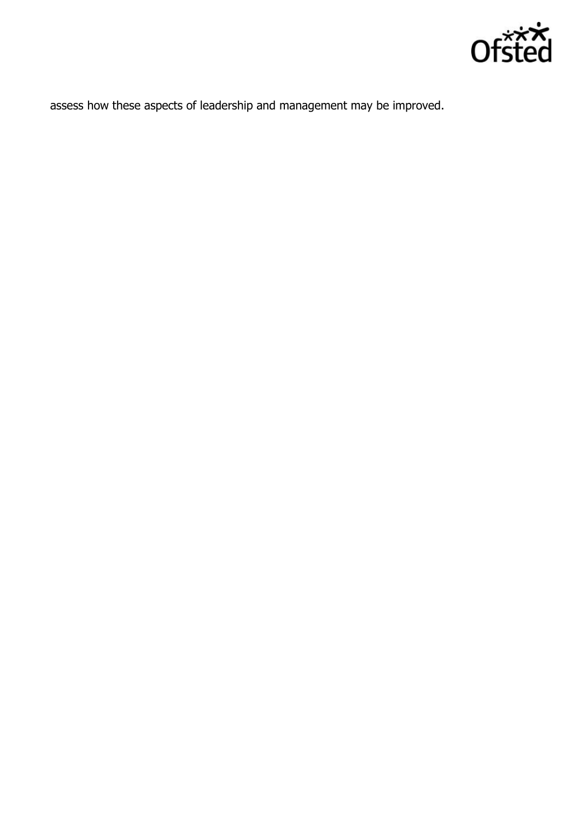

assess how these aspects of leadership and management may be improved.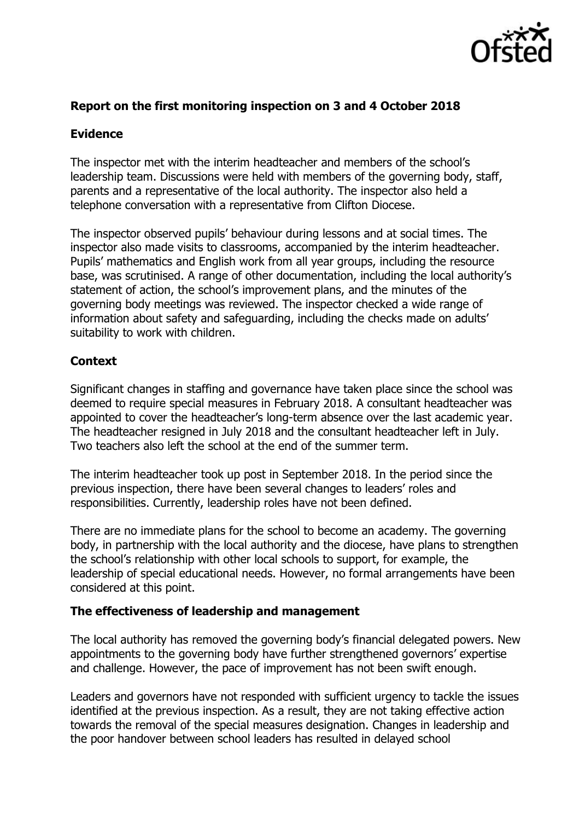

# **Report on the first monitoring inspection on 3 and 4 October 2018**

## **Evidence**

The inspector met with the interim headteacher and members of the school's leadership team. Discussions were held with members of the governing body, staff, parents and a representative of the local authority. The inspector also held a telephone conversation with a representative from Clifton Diocese.

The inspector observed pupils' behaviour during lessons and at social times. The inspector also made visits to classrooms, accompanied by the interim headteacher. Pupils' mathematics and English work from all year groups, including the resource base, was scrutinised. A range of other documentation, including the local authority's statement of action, the school's improvement plans, and the minutes of the governing body meetings was reviewed. The inspector checked a wide range of information about safety and safeguarding, including the checks made on adults' suitability to work with children.

# **Context**

Significant changes in staffing and governance have taken place since the school was deemed to require special measures in February 2018. A consultant headteacher was appointed to cover the headteacher's long-term absence over the last academic year. The headteacher resigned in July 2018 and the consultant headteacher left in July. Two teachers also left the school at the end of the summer term.

The interim headteacher took up post in September 2018. In the period since the previous inspection, there have been several changes to leaders' roles and responsibilities. Currently, leadership roles have not been defined.

There are no immediate plans for the school to become an academy. The governing body, in partnership with the local authority and the diocese, have plans to strengthen the school's relationship with other local schools to support, for example, the leadership of special educational needs. However, no formal arrangements have been considered at this point.

## **The effectiveness of leadership and management**

The local authority has removed the governing body's financial delegated powers. New appointments to the governing body have further strengthened governors' expertise and challenge. However, the pace of improvement has not been swift enough.

Leaders and governors have not responded with sufficient urgency to tackle the issues identified at the previous inspection. As a result, they are not taking effective action towards the removal of the special measures designation. Changes in leadership and the poor handover between school leaders has resulted in delayed school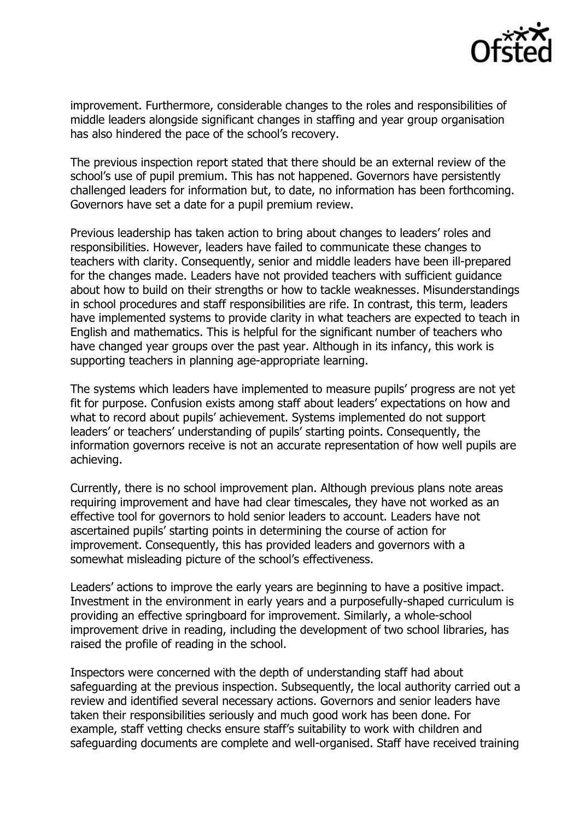

improvement. Furthermore, considerable changes to the roles and responsibilities of middle leaders alongside significant changes in staffing and year group organisation has also hindered the pace of the school's recovery.

The previous inspection report stated that there should be an external review of the school's use of pupil premium. This has not happened. Governors have persistently challenged leaders for information but, to date, no information has been forthcoming. Governors have set a date for a pupil premium review.

Previous leadership has taken action to bring about changes to leaders' roles and responsibilities. However, leaders have failed to communicate these changes to teachers with clarity. Consequently, senior and middle leaders have been ill-prepared for the changes made. Leaders have not provided teachers with sufficient guidance about how to build on their strengths or how to tackle weaknesses. Misunderstandings in school procedures and staff responsibilities are rife. In contrast, this term, leaders have implemented systems to provide clarity in what teachers are expected to teach in English and mathematics. This is helpful for the significant number of teachers who have changed year groups over the past year. Although in its infancy, this work is supporting teachers in planning age-appropriate learning.

The systems which leaders have implemented to measure pupils' progress are not yet fit for purpose. Confusion exists among staff about leaders' expectations on how and what to record about pupils' achievement. Systems implemented do not support leaders' or teachers' understanding of pupils' starting points. Consequently, the information governors receive is not an accurate representation of how well pupils are achieving.

Currently, there is no school improvement plan. Although previous plans note areas requiring improvement and have had clear timescales, they have not worked as an effective tool for governors to hold senior leaders to account. Leaders have not ascertained pupils' starting points in determining the course of action for improvement. Consequently, this has provided leaders and governors with a somewhat misleading picture of the school's effectiveness.

Leaders' actions to improve the early years are beginning to have a positive impact. Investment in the environment in early years and a purposefully-shaped curriculum is providing an effective springboard for improvement. Similarly, a whole-school improvement drive in reading, including the development of two school libraries, has raised the profile of reading in the school.

Inspectors were concerned with the depth of understanding staff had about safeguarding at the previous inspection. Subsequently, the local authority carried out a review and identified several necessary actions. Governors and senior leaders have taken their responsibilities seriously and much good work has been done. For example, staff vetting checks ensure staff's suitability to work with children and safeguarding documents are complete and well-organised. Staff have received training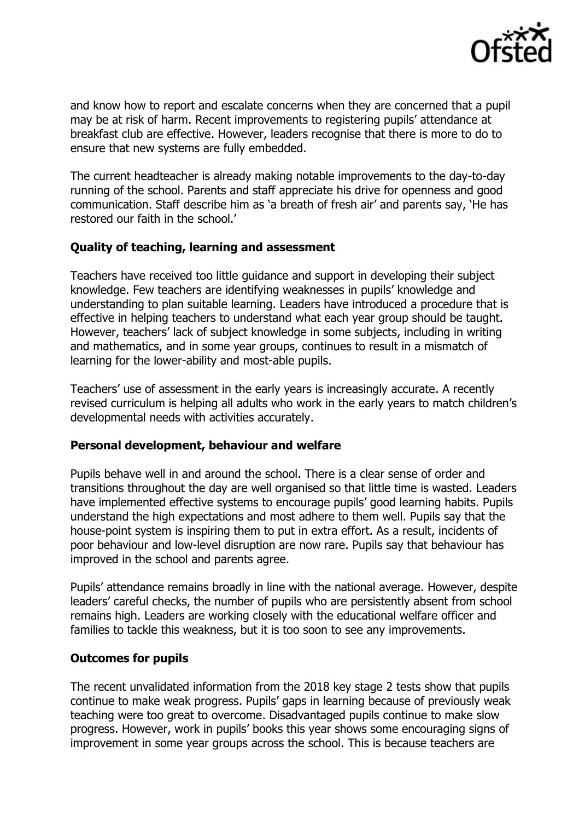

and know how to report and escalate concerns when they are concerned that a pupil may be at risk of harm. Recent improvements to registering pupils' attendance at breakfast club are effective. However, leaders recognise that there is more to do to ensure that new systems are fully embedded.

The current headteacher is already making notable improvements to the day-to-day running of the school. Parents and staff appreciate his drive for openness and good communication. Staff describe him as 'a breath of fresh air' and parents say, 'He has restored our faith in the school.'

## **Quality of teaching, learning and assessment**

Teachers have received too little guidance and support in developing their subject knowledge. Few teachers are identifying weaknesses in pupils' knowledge and understanding to plan suitable learning. Leaders have introduced a procedure that is effective in helping teachers to understand what each year group should be taught. However, teachers' lack of subject knowledge in some subjects, including in writing and mathematics, and in some year groups, continues to result in a mismatch of learning for the lower-ability and most-able pupils.

Teachers' use of assessment in the early years is increasingly accurate. A recently revised curriculum is helping all adults who work in the early years to match children's developmental needs with activities accurately.

## **Personal development, behaviour and welfare**

Pupils behave well in and around the school. There is a clear sense of order and transitions throughout the day are well organised so that little time is wasted. Leaders have implemented effective systems to encourage pupils' good learning habits. Pupils understand the high expectations and most adhere to them well. Pupils say that the house-point system is inspiring them to put in extra effort. As a result, incidents of poor behaviour and low-level disruption are now rare. Pupils say that behaviour has improved in the school and parents agree.

Pupils' attendance remains broadly in line with the national average. However, despite leaders' careful checks, the number of pupils who are persistently absent from school remains high. Leaders are working closely with the educational welfare officer and families to tackle this weakness, but it is too soon to see any improvements.

#### **Outcomes for pupils**

The recent unvalidated information from the 2018 key stage 2 tests show that pupils continue to make weak progress. Pupils' gaps in learning because of previously weak teaching were too great to overcome. Disadvantaged pupils continue to make slow progress. However, work in pupils' books this year shows some encouraging signs of improvement in some year groups across the school. This is because teachers are